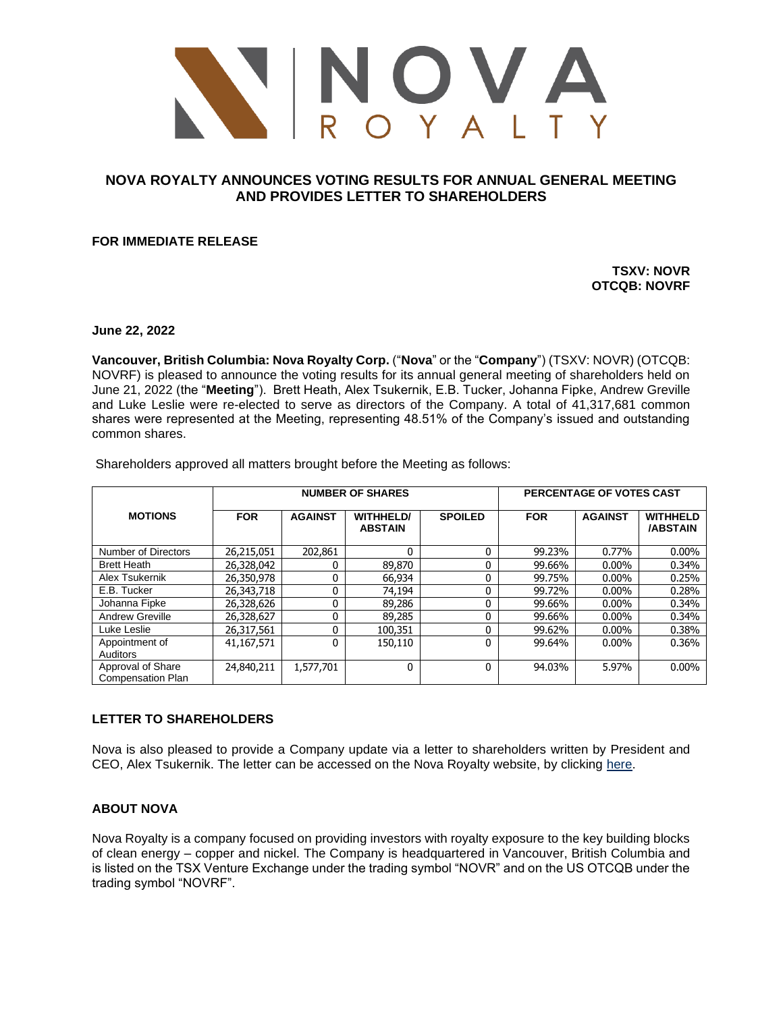

# **NOVA ROYALTY ANNOUNCES VOTING RESULTS FOR ANNUAL GENERAL MEETING AND PROVIDES LETTER TO SHAREHOLDERS**

**FOR IMMEDIATE RELEASE**

**TSXV: NOVR OTCQB: NOVRF**

**June 22, 2022**

**Vancouver, British Columbia: Nova Royalty Corp.** ("**Nova**" or the "**Company**") (TSXV: NOVR) (OTCQB: NOVRF) is pleased to announce the voting results for its annual general meeting of shareholders held on June 21, 2022 (the "**Meeting**"). Brett Heath, Alex Tsukernik, E.B. Tucker, Johanna Fipke, Andrew Greville and Luke Leslie were re-elected to serve as directors of the Company. A total of 41,317,681 common shares were represented at the Meeting, representing 48.51% of the Company's issued and outstanding common shares.

|                                               | <b>NUMBER OF SHARES</b> |                |                                    |                | PERCENTAGE OF VOTES CAST |                |                                    |
|-----------------------------------------------|-------------------------|----------------|------------------------------------|----------------|--------------------------|----------------|------------------------------------|
| <b>MOTIONS</b>                                | <b>FOR</b>              | <b>AGAINST</b> | <b>WITHHELD/</b><br><b>ABSTAIN</b> | <b>SPOILED</b> | <b>FOR</b>               | <b>AGAINST</b> | <b>WITHHELD</b><br><b>/ABSTAIN</b> |
| <b>Number of Directors</b>                    | 26,215,051              | 202,861        | 0                                  | 0              | 99.23%                   | 0.77%          | $0.00\%$                           |
| <b>Brett Heath</b>                            | 26,328,042              |                | 89,870                             | 0              | 99.66%                   | $0.00\%$       | 0.34%                              |
| Alex Tsukernik                                | 26,350,978              |                | 66,934                             | 0              | 99.75%                   | $0.00\%$       | 0.25%                              |
| E.B. Tucker                                   | 26,343,718              | 0              | 74.194                             | 0              | 99.72%                   | $0.00\%$       | 0.28%                              |
| Johanna Fipke                                 | 26,328,626              |                | 89,286                             | 0              | 99.66%                   | $0.00\%$       | 0.34%                              |
| <b>Andrew Greville</b>                        | 26,328,627              |                | 89,285                             | 0              | 99.66%                   | $0.00\%$       | 0.34%                              |
| Luke Leslie                                   | 26,317,561              | 0              | 100,351                            | 0              | 99.62%                   | $0.00\%$       | 0.38%                              |
| Appointment of<br>Auditors                    | 41,167,571              | 0              | 150,110                            | 0              | 99.64%                   | $0.00\%$       | 0.36%                              |
| Approval of Share<br><b>Compensation Plan</b> | 24,840,211              | 1,577,701      | 0                                  | 0              | 94.03%                   | 5.97%          | $0.00\%$                           |

Shareholders approved all matters brought before the Meeting as follows:

### **LETTER TO SHAREHOLDERS**

Nova is also pleased to provide a Company update via a letter to shareholders written by President and CEO, Alex Tsukernik. The letter can be accessed on the Nova Royalty website, by clicking [here.](https://bit.ly/3N4WXlz)

## **ABOUT NOVA**

Nova Royalty is a company focused on providing investors with royalty exposure to the key building blocks of clean energy – copper and nickel. The Company is headquartered in Vancouver, British Columbia and is listed on the TSX Venture Exchange under the trading symbol "NOVR" and on the US OTCQB under the trading symbol "NOVRF".